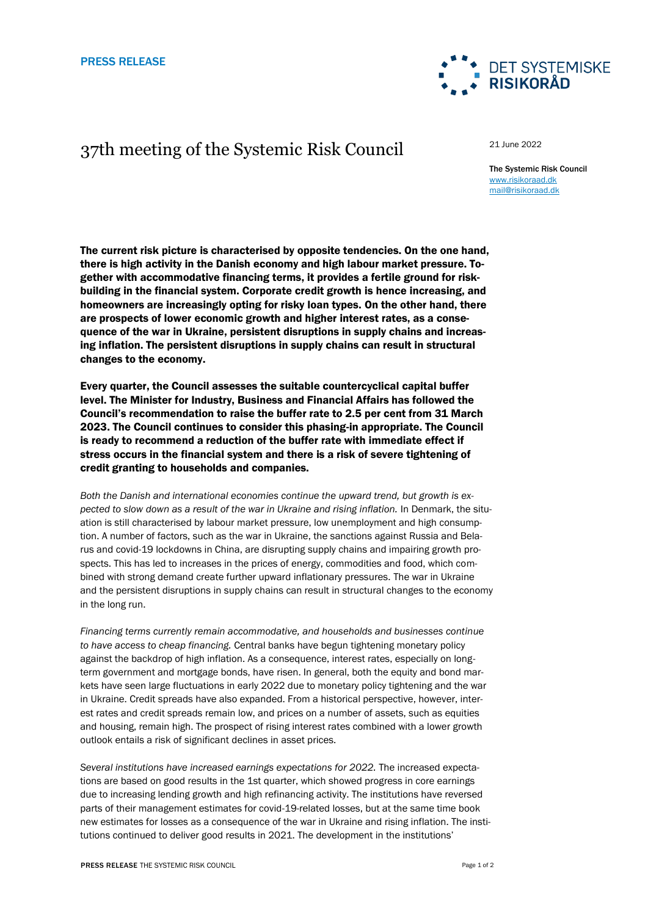# 37th meeting of the Systemic Risk Council

21 June 2022

The Systemic Risk Council [www.risikoraad.dk](http://www.risikoraad.dk/) [mail@risikoraad.dk](mailto:mail@risikoraad.dk)

**DET SYSTEMISKE** 

**RISIKORÅD** 

The current risk picture is characterised by opposite tendencies. On the one hand, there is high activity in the Danish economy and high labour market pressure. Together with accommodative financing terms, it provides a fertile ground for riskbuilding in the financial system. Corporate credit growth is hence increasing, and homeowners are increasingly opting for risky loan types. On the other hand, there are prospects of lower economic growth and higher interest rates, as a consequence of the war in Ukraine, persistent disruptions in supply chains and increasing inflation. The persistent disruptions in supply chains can result in structural changes to the economy.

Every quarter, the Council assesses the suitable countercyclical capital buffer level. The Minister for Industry, Business and Financial Affairs has followed the Council's recommendation to raise the buffer rate to 2.5 per cent from 31 March 2023. The Council continues to consider this phasing-in appropriate. The Council is ready to recommend a reduction of the buffer rate with immediate effect if stress occurs in the financial system and there is a risk of severe tightening of credit granting to households and companies.

*Both the Danish and international economies continue the upward trend, but growth is expected to slow down as a result of the war in Ukraine and rising inflation.* In Denmark, the situation is still characterised by labour market pressure, low unemployment and high consumption. A number of factors, such as the war in Ukraine, the sanctions against Russia and Belarus and covid-19 lockdowns in China, are disrupting supply chains and impairing growth prospects. This has led to increases in the prices of energy, commodities and food, which combined with strong demand create further upward inflationary pressures. The war in Ukraine and the persistent disruptions in supply chains can result in structural changes to the economy in the long run.

*Financing terms currently remain accommodative, and households and businesses continue to have access to cheap financing.* Central banks have begun tightening monetary policy against the backdrop of high inflation. As a consequence, interest rates, especially on longterm government and mortgage bonds, have risen. In general, both the equity and bond markets have seen large fluctuations in early 2022 due to monetary policy tightening and the war in Ukraine. Credit spreads have also expanded. From a historical perspective, however, interest rates and credit spreads remain low, and prices on a number of assets, such as equities and housing, remain high. The prospect of rising interest rates combined with a lower growth outlook entails a risk of significant declines in asset prices.

*Several institutions have increased earnings expectations for 2022.* The increased expectations are based on good results in the 1st quarter, which showed progress in core earnings due to increasing lending growth and high refinancing activity. The institutions have reversed parts of their management estimates for covid-19-related losses, but at the same time book new estimates for losses as a consequence of the war in Ukraine and rising inflation. The institutions continued to deliver good results in 2021. The development in the institutions'